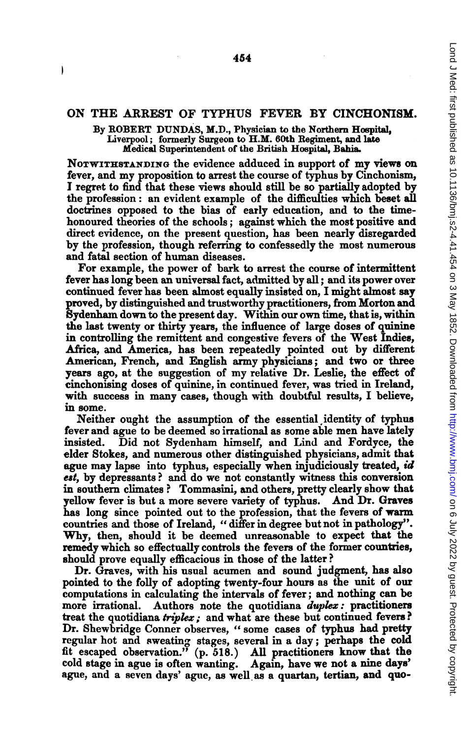J

## ON THE ARREST OF TYPHUS FEVER BY CINCHONISM.

By ROBERT DUNDAS, M.D., Physician to the Northern Hospital, Liverpool; formerly Surgeon to H.M. 60th Regiment, and late Medical Superintendent of the British Hospital, Bahia.

NOTWITHSTANDING the evidence adduced in support of my views on fever, and my proposition to arrest the course of typhus by Cinchonism, I regret to find that these views should still be so partially adopted by the profession: an evident example of the difficulties which beset all doctrines opposed to the bias of early education, and to the timehonoured theories of the schools; against which the most positive and direct evidence, on the present question, has been nearly disregarded by the profession, though referring to confessedly the most numerous and fatal section of human diseases.

For example, the power of bark to arrest the course of intermittent fever has long been an universal fact, admitted by all; and its power over continued fever has been almost equally insisted on, I might almost say proved, by distinguished and trustworthy practitioners, from Morton and Sydenham down to the present day. Within our own time, that is, within the last twenty or thirty years, the influence of large doses of quinine in controlling the remittent and congestive fevers of the West Indies, Africa, and America, has been repeatedly pointed out by different American, French, and English army physicians; and two or three years ago, at the suggestion of my relative Dr. Leslie, the effect of cinchonising doses of quinine, in continued fever, was tried in Ireland, with success in many cases, though with doubtful results, I believe, in some.

Neither ought the assumption of the essential identity of typhus fever and ague to be deemed so irrational as some able men have lately insisted. Did not Sydenham imself, and Lind and Fordyce, the elder Stokes, and numerous other distinguished physicians, admit that ague may lapse into typhus, especially when injudiciously treated, id eat, by depressants? and do we not constantly witness this conversion in southern climates ? Tommasini, and others, pretty clearly show that yellow fever is but a more severe variety of typhus. And Dr. Graves has long since pointed out to the profession, that the fevers of warm countries and those of Ireland, " differ in degree but not in pathology". Why, then, should it be deemed unreasonable to expect that the remedy which so effectually controls the fevers of the former countries, should prove equally efficacious in those of the latter?

Dr. Graves, with his usual acumen and sound judgment, has also pointed to the folly of adopting twenty-four hours as the unit of our computations in calculating the intervals of fever; and nothing can be more irrational. Authors note the quotidiana *duplex*: practitioners treat the quotidiana *triplex*; and what are these but continued fevers? Dr. Shewbridge Conner observes, " some cases of typhus had pretty regular hot and sweating stages, several in a day; perhaps the cold fit escaped observation." (p. 518.) All practitioners know that the cold stage in ague is often wanting. Again, have we not a nine days' ague, and a seven days' ague, as well as a quartan, tertian, and quo-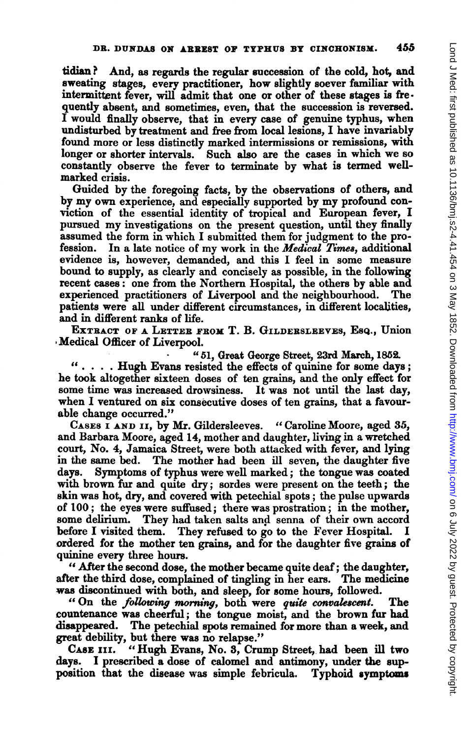tidian? And, as regards the regular succession of the cold, hot, and sweating stages, every practitioner, how slightly soever familiar with intermittent fever, will admit that one or other of these stages is frequently absent, and sometimes, even, that the succession is reversed. I would finally observe, that in every case of genuine typhus, when undisturbed by treatment and free from local lesions, I have invariably found more or less distinctly marked intermissions or remissions, with longer or shorter intervals. Such also are the cases in which we so constantly observe the fever to terminate by what is termed wellmarked crisis.

Guided by the foregoing facts, by the observations of others, and by my own experience, and especially supported by my profound conviction of the essential identity of tropical and European fever, I pursued my investigations on the present question, until they finally assumed the form in which I submitted them for judgment to the profession. In a late notice of my work in the *Medical Times*, additional evidence is, however, demanded, and this I feel in some measure bound to supply, as clearly and concisely as possible, in the following recent cases: one from the Northern Hospital, the others by able and experienced practitioners of Liverpool and the neighbourhood. The patients were all under different circumstances, in different localities, and in different ranks of life.

EXTRACT OF A LETTER FROx T. B. GILDERSLEEvEs, ESQ., Union Medical Officer of Liverpool.

" 51, Great George Street, 23rd March, 1852.

 $\cdots$ . Hugh Evans resisted the effects of quinine for some days; he took altogether sixteen doses of ten grains, and the only effect for some time was increased drowsiness. It was not until the last day, when I ventured on six consecutive doses of ten grains, that a favourable change occurred."

CASES <sup>I</sup> AND II, by Mr. Gildersleeves. "Caroline Moore, aged 35, and Barbara Moore, aged 14, mother and daughter, living in a wretched court, No. 4, Jamaica Street, were both attacked with fever, and lying in the same bed. The mother had been ill seven, the daughter five days. Symptoms of typhus were well marked; the tongue was coated with brown fur and quite dry; sordes were present on the teeth; the skin was hot, dry, and covered with petechial spots; the pulse upwards of 100; the eyes were suffused; there was prostration; in the mother, some delirium. They had taken salts and senna of their own accord before I visited them. They refused to go to the Fever Hospital. <sup>I</sup> ordered for the mother ten grains, and for the daughter five grains of quinine every three hours.

" After the second dose, the mother became quite deaf; the daughter, after the third dose, complained of tingling in her ears. The medicine was discontinued with both, and sleep, for some hours, followed.

" On the following morning, both were quite convalescent. The countenance was cheerful; the tongue moist, and the brown fur had disappeared. The petechial spots remained for more than a week, and great debility, but there was no relapse."

CASE III. "Hugh Evans, No. 3, Crump Street, had been ill two I prescribed a dose of calomel and antimony, under the supposition that the disease was simple febricula. Typhoid symptoms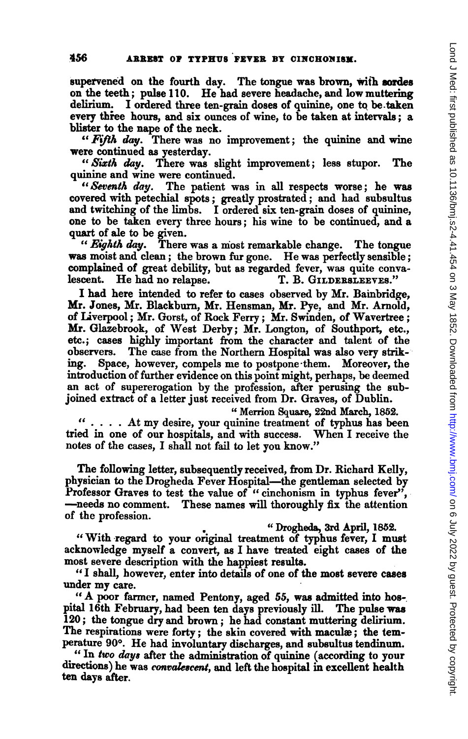supervened on the fourth day. The tongue was brown, with sordes on the teeth; pulse <sup>1</sup> 10. He had severe headache, and low muttering delirium. I ordered three ten-grain doses of quinine, one tq be.taken every three hours, and six ounces of wine, to be taken at intervals; a blister to the nape of the neck.

"Fifth day. There was no improvement; the quinine and wine were continued as yesterday.

"Sixth day. There was slight improvement; less stupor. The quinine and wine were continued.

"Seventh day. The patient was in all respects worse; he was covered with petechial spots; greatly prostrated; and had subsultus and twitching of the limbs. I ordered six ten-grain doses of quinine, one to be taken every three hours; his wine to be continued, and a quart of ale to be given.

" Eighth day. There was a most remarkable change. The tongue was moist and clean; the brown fur gone. He was perfectly sensible; complained of great debility, but as regarded fever, was quite conva-<br>lescent. He had no relapse. T. B. GILDERSLEEVES." lescent. He had no relapse. T. B. GILDERSLEEVES."

I had here intended to refer to cases observed by Mr. Bainbridge, Mr. Jones, Mr. Blackburn, Mr. Hensman, Mr. Pye, and Mr. Arnold, of Liverpool; Mr. Gorst, of Rock Ferry; Mr. Swinden, of Wavertree; Mr. Glazebrook, of West Derby; Mr. Longton, of Southport, etc., etc.; cases highly important from the character and talent of the observers. The case from the Northern Hospital was also very strik- ing. Space, however, compels me to postpone -them. Moreover, the introduction of further evidence on this point might, perhaps, be deemed an act of supererogation by the profession, after perusing the subjoined extract of a letter just received from Dr. Graves, of Dublin.

" Merrion Square, 22nd March, 1852.

 $\epsilon$ ... At my desire, your quinine treatment of typhus has been tried in one of our hospitals, and with success. When <sup>I</sup> receive the notes of the cases, I shall not fail to let you know."

The following letter, subsequently received, from Dr. Richard Kelly, physician to the Drogheda Fever Hospital-the gentleman selected by Professor Graves to test the value of " cinchonism in typhus fever", -needs no comment. These names will thoroughly fix the attention of the profession.

## o"Drogheda, 3rd April, 1852.

"With regard to your original treatment of typhus fever, I must acknowledge myself a convert, as I have treated eight cases of the most severe description with the happiest results.

" <sup>I</sup> shall, however, enter into details of one of the most severe cases under my care.

" A poor farmer, named Pentony, aged 55, was admitted into hos-Pital 16th February, had been ten days previously ill. The pulse was 120; the tongue dry and brown; he had constant muttering delirium. The respirations were forty; the skin covered with maculæ; the temperature 900. He had involuntary discharges, and subsultus tendinum.

" In two days after the administration of quinine (according to your directions) he was *convalescent*, and left the hospital in excellent health ten days after.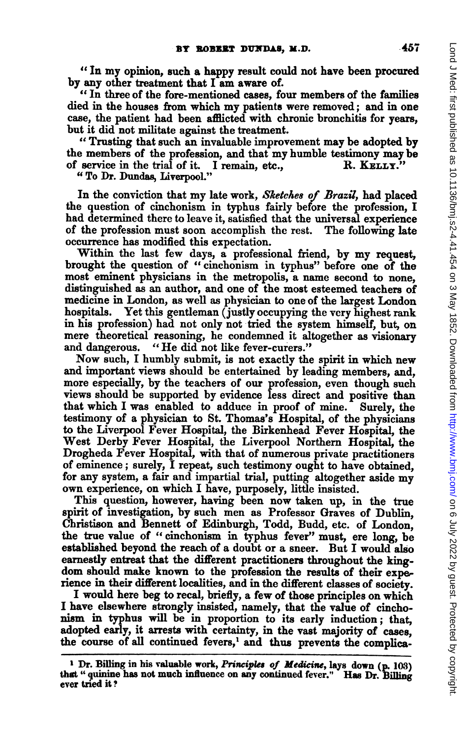" In my opinion, such a happy result could not have been procured by any other treatment that <sup>I</sup> am aware of.

" In three of the fore-mentioned cases, four members of the families died in the houses from which my patients were removed; and in one case, the patient had been afflicted with chronic bronchitis for years, but it did not militate against the treatment.

" Trusting that such an invaluable improvement may be adopted by the members of the profession, and that my humble testimony may be of service in the trial of it. I remain, etc..  $R.$  KELLY." of service in the trial of it. I remain, etc.,

" To Dr. Dunda, Liverpool."

In the conviction that my late work, Sketches of Brazil, had placed the question of cinchonism in typhus fairly before the profession, I had determined there to leave it, satisfied that the universal experience of the profession must soon accomplish the rest. The following late occurrence has modified this expectation.

Within the last few days, a professional friend, by my request, brought the question of " cinchonism in typhus" before one of the most eminent physicians in the metropolis, a name second to none, distinguished as an author, and one of the most esteemed teachers of medicine in London, as well as physician to one of the largest London hospitals. Yet this gentleman (justly occupying the very highest rank in his profession) had not only not tried the system himself, but, on mere theoretical reasoning, he condemned it altogether as visionary and dangerous. "He did not like fever-curers."

Now such, <sup>I</sup> humbly submit, is not exactly the spirit in which new and important views should be entertained by leading members, and, more especially, by the teachers of our profession, even though such views should be supported by evidence less direct and positive than that which I was enabled to adduce in proof of mine. Surely, the testimony of a physician to St. Thomas's Hospital, of the physicians to the Liverpool Fever Hospital, the Birkenhead Fever Hospital, the West Derby Fever Hospital, the Liverpool Northern Hospital, the Drogheda Fever Hospital, with that of numerous private practitioners of eminence; surely, I repeat, such testimony ought to have obtained, for any system, a fair and impartial trial, putting altogether aside my own experience, on which <sup>I</sup> have, purposely, little insisted.

This question, however, having been now taken up, in the true spirt of investigation, by such men as Professor Graves of Dublin, Christison and Bennett of Edinburgh, Todd, Budd, etc. of London, the true value of " cinchonism in typhus fever" must, ere long, be established beyond the reach of a doubt or a sneer. But I would also earnestly entreat that the different practitioners throughout the kingdom should make known to the profession the results of their experience in their different localities, and in the different classes of society.

I would here beg to recal, briefly, a few of those principles on which I have elsewhere strongly insisted, namely, that the value of cincho-<br>nism in typhus will be in proportion to its early induction; that, adopted early, it arrests with certainty, in the vast majority of cases, the course of all continued fevers,' and thus prevents the complica-

<sup>&</sup>lt;sup>1</sup> Dr. Billing in his valuable work, Principles of Medicine, lays down (p. 103) that " quinine has not much influence on any continued fever." Has Dr. Billing ever tried it?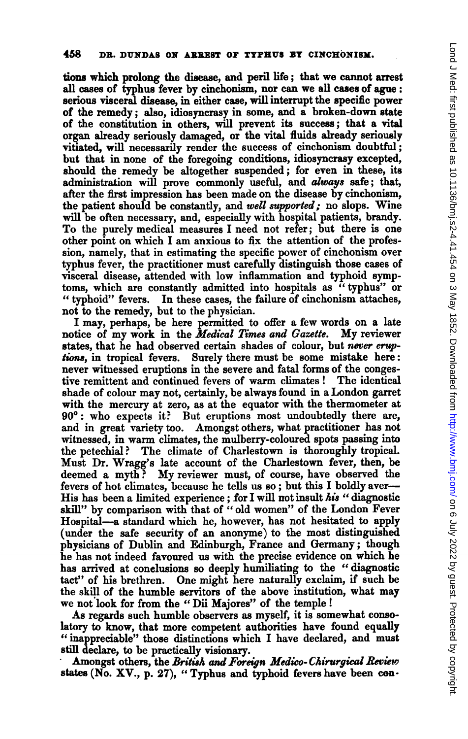tions which prolong the disease, and peril life; that we cannot arrest all cases of typhus fever by cinchonism, nor can we all cases of ague: serious visceral disease, in either case, will interrupt the specific power of the remedy; also, idiosyncrasy in some, and a broken-down state of the constitution in others, will prevent its success; that a vital organ already seriously damaged, or the vital fluids already seriously vitiated, will necessarily render the success of cinchonism doubtful; but that in none of the foregoing conditions, idiosyncrasy excepted, should the remedy be altogether suspended; for even in these, its administration will prove commonly useful, and *always* safe; that, after the first impression has been made on the disease by cinchonism, the patient should be constantly, and well supported; no slops. Wine will be often necessary, and, especially with hospital patients, brandy. To the purely medical measures <sup>I</sup> need not refer; but there is one other point on which I am anxious to fix the attention of the profession, namely, that in estimating the specific power of cinchonism over typhus fever, the practitioner must carefully distinguish those cases of visceral disease, attended with low inflammation and typhoid symptoms, which are constantly admitted into hospitals as " typhus" or " typhoid" fevers. In these cases, the failure of cinchonism attaches, not to the remedy, but to the physician.

I may, perhaps, be here permitted to offer a few words on a late notice of my work in the *Medical Times and Gazette*. My reviewer states, that he had observed certain shades of colour, but never eruptions, in tropical fevers. Surely there must be some mistake here: never witnessed eruptions in the severe and fatal forms of the congestive remittent and continued fevers of warm climates! The identical shade of colour may not, certainly, be always found in a London garret with the mercury at zero, as at the equator with the thermometer at 900: who expects it? But eruptions most undoubtedly there are, and in great variety too. Amongst others, what practitioner has not witnessed, in warm climates, the mulberry-coloured spots passing into the petechial ? The climate of Charlestown is thoroughly tropical. Must Dr. Wragg's late account of the Charlestown fever, then, be deemed <sup>a</sup> myth? My reviewer must, of course, have observed the fevers of hot climates, because he tells us so; but this <sup>I</sup> boldly aver-His has been a limited experience; for I will not insult his " diagnostic skill" by comparison with that of "old women" of the London Fever Hospital-a standard which he, however, has not hesitated to apply (under the safe security of an anonyme) to the most distinguished physicians of Dublin and Edinburgh, France and Germany; though he has not indeed favoured us with the precise evidence on which he has arrived at conclusions so deeply humiliating to the "diagnostic tact" of his brethren. One might here naturally exclaim, if such be the skill of the humble servitors of the above institution, what may we not look for from the "Dii Majores" of the temple!

As regards such humble observers as myself, it is somewhat consolatory to know, that more competent authorities have found equally "inappreciable" those distinctions which I have declared, and must still declare, to be practically visionary

Amongst others, the British and Foreign Medico-Chirurgical Review states (No. XV., p. 27), "Typhus and typhoid fevers have been  $con$ -